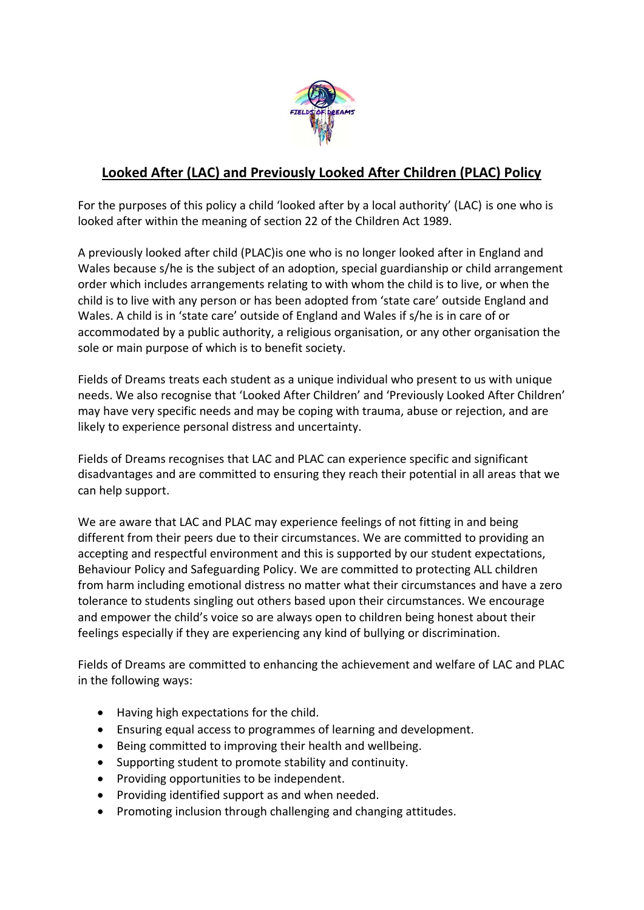

## **Looked After (LAC) and Previously Looked After Children (PLAC) Policy**

For the purposes of this policy a child 'looked after by a local authority' (LAC) is one who is looked after within the meaning of section 22 of the Children Act 1989.

A previously looked after child (PLAC)is one who is no longer looked after in England and Wales because s/he is the subject of an adoption, special guardianship or child arrangement order which includes arrangements relating to with whom the child is to live, or when the child is to live with any person or has been adopted from 'state care' outside England and Wales. A child is in 'state care' outside of England and Wales if s/he is in care of or accommodated by a public authority, a religious organisation, or any other organisation the sole or main purpose of which is to benefit society.

Fields of Dreams treats each student as a unique individual who present to us with unique needs. We also recognise that 'Looked After Children' and 'Previously Looked After Children' may have very specific needs and may be coping with trauma, abuse or rejection, and are likely to experience personal distress and uncertainty.

Fields of Dreams recognises that LAC and PLAC can experience specific and significant disadvantages and are committed to ensuring they reach their potential in all areas that we can help support.

We are aware that LAC and PLAC may experience feelings of not fitting in and being different from their peers due to their circumstances. We are committed to providing an accepting and respectful environment and this is supported by our student expectations, Behaviour Policy and Safeguarding Policy. We are committed to protecting ALL children from harm including emotional distress no matter what their circumstances and have a zero tolerance to students singling out others based upon their circumstances. We encourage and empower the child's voice so are always open to children being honest about their feelings especially if they are experiencing any kind of bullying or discrimination.

Fields of Dreams are committed to enhancing the achievement and welfare of LAC and PLAC in the following ways:

- Having high expectations for the child.
- Ensuring equal access to programmes of learning and development.
- Being committed to improving their health and wellbeing.
- Supporting student to promote stability and continuity.
- Providing opportunities to be independent.
- Providing identified support as and when needed.
- Promoting inclusion through challenging and changing attitudes.